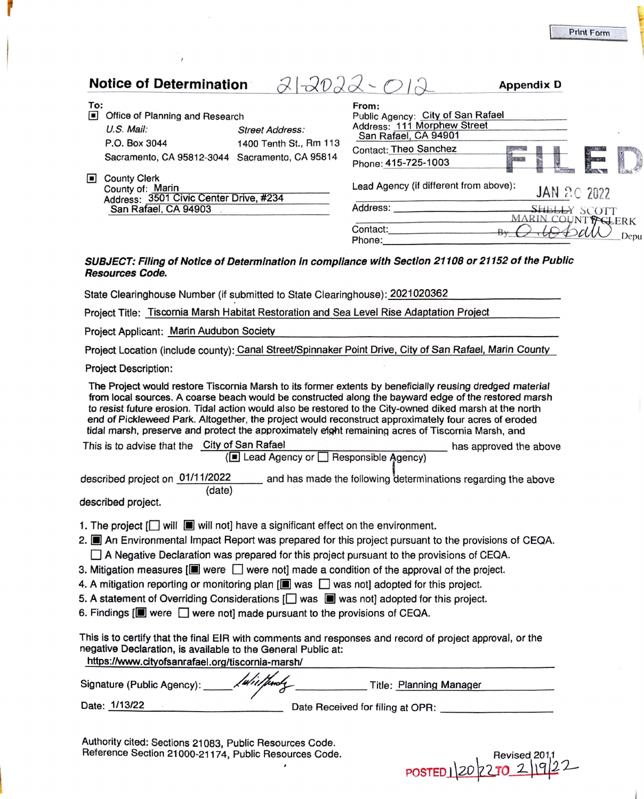|                | <b>Notice of Determination</b>                                                                                     | $-202$                                           |                                                                                                                                                   | <b>Appendix D</b> |                              |      |
|----------------|--------------------------------------------------------------------------------------------------------------------|--------------------------------------------------|---------------------------------------------------------------------------------------------------------------------------------------------------|-------------------|------------------------------|------|
| To:<br>$\Box$  | Office of Planning and Research<br>$U.S.$ Mail:<br>P.O. Box 3044<br>Sacramento, CA 95812-3044 Sacramento, CA 95814 | <b>Street Address:</b><br>1400 Tenth St., Rm 113 | From:<br>Public Agency: City of San Rafael<br>Address: 111 Morphew Street<br>San Rafael, CA 94901<br>Contact: Theo Sanchez<br>Phone: 415-725-1003 | <b>SERVICE</b>    |                              |      |
| $\blacksquare$ | <b>County Clerk</b><br>County of: Marin<br>Address: 3501 Civic Center Drive, #234<br>San Rafael, CA 94903          |                                                  | Lead Agency (if different from above):<br>Address:                                                                                                |                   | JAN 2.0 2022<br>SHELLY SCOTT |      |
|                |                                                                                                                    |                                                  | Contact:<br>Phone:<br>SUBJECT: Filing of Notice of Determination in compliance with Section 21108 or 21152 of the Public                          |                   | MARIN COUNTY CLERK           | Depu |

## **SUBJECT: Filing of Notice of Determination In compliance with Section 21108 or 21152 of the Public Resources Code.**

State Clearinghouse Number (if submitted to State Clearinghouse): 2021020362

Project Title: Tiscornia Marsh Habitat Restoration and Sea Level Rise Adaptation Project

Project Applicant: Marin Audubon Society

Project Location (include county): Canal StreeVSpinnaker Point Drive, City of San Rafael, Marin County

Project Description:

The Project would restore Tiscornia Marsh to its former extents by beneficially reusing dredged material from local sources. A coarse beach would be constructed along the bayward edge of the restored marsh to resist future erosion. Tidal action would also be restored to the City-owned diked marsh at the north end of Pickleweed Park. Altogether, the project would reconstruct approximately four acres of eroded tidal marsh, preserve and protect the approximately eight remaining acres of Tiscornia Marsh, and

| This is to advise that the City of San Rafael |                                                                                                     | has approved the above |
|-----------------------------------------------|-----------------------------------------------------------------------------------------------------|------------------------|
|                                               | (■ Lead Agency or □ Responsible Agency)                                                             |                        |
|                                               | $\mathbf{u} = \mathbf{u}$ and $\mathbf{u} = \mathbf{u}$ and $\mathbf{u} = \mathbf{u}$<br>A/A A B000 |                        |

described project on 01/11/2022 and has made the following determinations regarding the above (date)

described project.

- 1. The project  $[\Box]$  will  $[\Box]$  will not] have a significant effect on the environment.
- 2. **II** An Environmental Impact Report was prepared for this project pursuant to the provisions of CEQA.  $\Box$  A Negative Declaration was prepared for this project pursuant to the provisions of CEQA.
- 3. Mitigation measures  $[\blacksquare]$  were  $\Box$  were not] made a condition of the approval of the project.
- 4. A mitigation reporting or monitoring plan  $[\blacksquare]$  was  $\Box$  was not] adopted for this project.
- 5. A statement of Overriding Considerations  $\Box$  was  $\Box$  was not] adopted for this project.
- 6. Findings  $[\blacksquare]$  were  $\Box$  were not] made pursuant to the provisions of CEQA.

| This is to certify that the final EIR with comments and responses and record of project approval, or the |                                  |  |  |  |
|----------------------------------------------------------------------------------------------------------|----------------------------------|--|--|--|
| negative Declaration, is available to the General Public at:                                             |                                  |  |  |  |
| https://www.cityofsanrafael.org/tiscornia-marsh/                                                         |                                  |  |  |  |
| Iwielproly<br>Signature (Public Agency): ____                                                            | Title: Planning Manager          |  |  |  |
| Date: 1/13/22                                                                                            | Date Received for filing at OPR: |  |  |  |

POSTED 120 270 2 92

Authority cited: Sections 21083, Public Resources Code. Reference Section 21000-21174, Public Resources Code.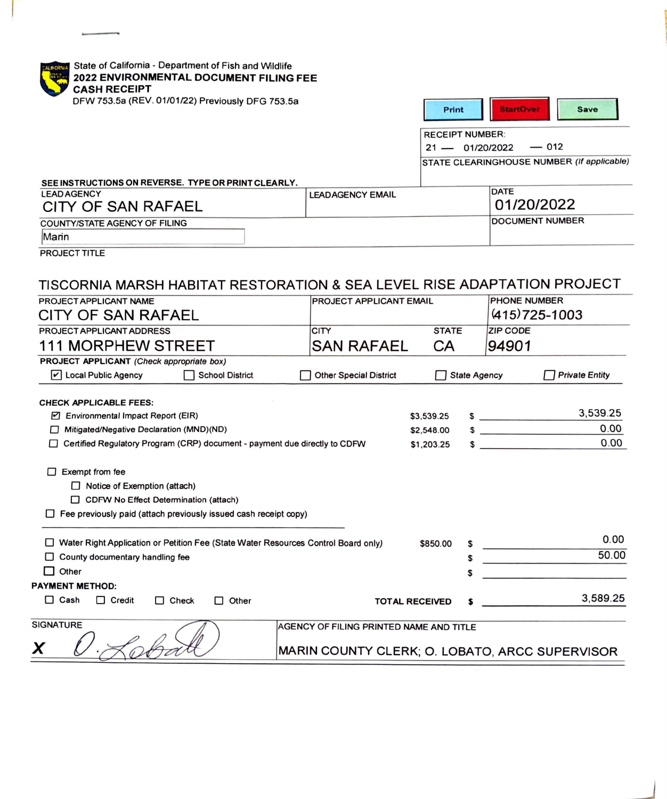| <b>CASH RECEIPT</b><br>DFW 753.5a (REV. 01/01/22) Previously DFG 753.5a                                                                                                                                                                                    | 2022 ENVIRONMENTAL DOCUMENT FILING FEE  | <b>Print</b>           |                     | <b>StartOver</b><br><b>Save</b>            |
|------------------------------------------------------------------------------------------------------------------------------------------------------------------------------------------------------------------------------------------------------------|-----------------------------------------|------------------------|---------------------|--------------------------------------------|
|                                                                                                                                                                                                                                                            |                                         | <b>RECEIPT NUMBER:</b> |                     |                                            |
|                                                                                                                                                                                                                                                            |                                         | $21 - 01/20/2022$      |                     | $-012$                                     |
|                                                                                                                                                                                                                                                            |                                         |                        |                     | STATE CLEARINGHOUSE NUMBER (If applicable) |
|                                                                                                                                                                                                                                                            |                                         |                        |                     |                                            |
| SEE INSTRUCTIONS ON REVERSE. TYPE OR PRINT CLEARLY.<br><b>LEAD AGENCY</b>                                                                                                                                                                                  | <b>LEADAGENCY EMAIL</b>                 |                        |                     | <b>DATE</b>                                |
| CITY OF SAN RAFAEL                                                                                                                                                                                                                                         |                                         |                        |                     | 01/20/2022                                 |
| <b>COUNTY/STATE AGENCY OF FILING</b>                                                                                                                                                                                                                       |                                         |                        |                     | <b>DOCUMENT NUMBER</b>                     |
| Marin                                                                                                                                                                                                                                                      |                                         |                        |                     |                                            |
| <b>PROJECT TITLE</b>                                                                                                                                                                                                                                       |                                         |                        |                     |                                            |
| TISCORNIA MARSH HABITAT RESTORATION & SEA LEVEL RISE ADAPTATION PROJECT<br>PROJECT APPLICANT NAME<br>CITY OF SAN RAFAEL                                                                                                                                    | <b>PROJECT APPLICANT EMAIL</b>          |                        |                     | <b>PHONE NUMBER</b><br>$(415)725 - 1003$   |
|                                                                                                                                                                                                                                                            |                                         |                        |                     |                                            |
| PROJECT APPLICANT ADDRESS                                                                                                                                                                                                                                  | <b>CITY</b>                             | <b>STATE</b>           |                     | <b>ZIP CODE</b>                            |
| <b>111 MORPHEW STREET</b>                                                                                                                                                                                                                                  | <b>SAN RAFAEL</b>                       | CA                     |                     | 94901                                      |
| PROJECT APPLICANT (Check appropriate box)                                                                                                                                                                                                                  |                                         |                        |                     |                                            |
| └ Local Public Agency<br><b>School District</b>                                                                                                                                                                                                            | <b>Other Special District</b>           |                        | <b>State Agency</b> | <b>Private Entity</b>                      |
| <b>CHECK APPLICABLE FEES:</b>                                                                                                                                                                                                                              |                                         |                        |                     |                                            |
| Environmental Impact Report (EIR)                                                                                                                                                                                                                          |                                         | \$3,539.25             |                     | 3,539.25<br>$\sim$                         |
| Mitigated/Negative Declaration (MND)(ND)                                                                                                                                                                                                                   |                                         | \$2,548.00             |                     | 0.00<br>$\sim$ $\sim$                      |
|                                                                                                                                                                                                                                                            |                                         |                        |                     |                                            |
|                                                                                                                                                                                                                                                            |                                         |                        |                     | 0.00                                       |
| □ Certified Regulatory Program (CRP) document - payment due directly to CDFW<br>Exempt from fee<br>$\Box$ Notice of Exemption (attach)<br>CDFW No Effect Determination (attach)<br>$\Box$ Fee previously paid (attach previously issued cash receipt copy) |                                         | \$1,203.25             |                     | $\sim$                                     |
|                                                                                                                                                                                                                                                            |                                         |                        |                     | 0.00                                       |
| □ Water Right Application or Petition Fee (State Water Resources Control Board only)                                                                                                                                                                       |                                         | \$850.00               |                     |                                            |
| $\Box$ County documentary handling fee                                                                                                                                                                                                                     |                                         |                        | \$                  | 50.00                                      |
| Other                                                                                                                                                                                                                                                      |                                         |                        | S                   |                                            |
| <b>PAYMENT METHOD:</b><br>$\Box$ Cash<br>$\Box$ Credit<br>$\Box$ Check<br>Other<br>$\Box$                                                                                                                                                                  | <b>TOTAL RECEIVED</b>                   |                        |                     | 3,589.25                                   |
| SIGNATURE                                                                                                                                                                                                                                                  | AGENCY OF FILING PRINTED NAME AND TITLE |                        |                     |                                            |